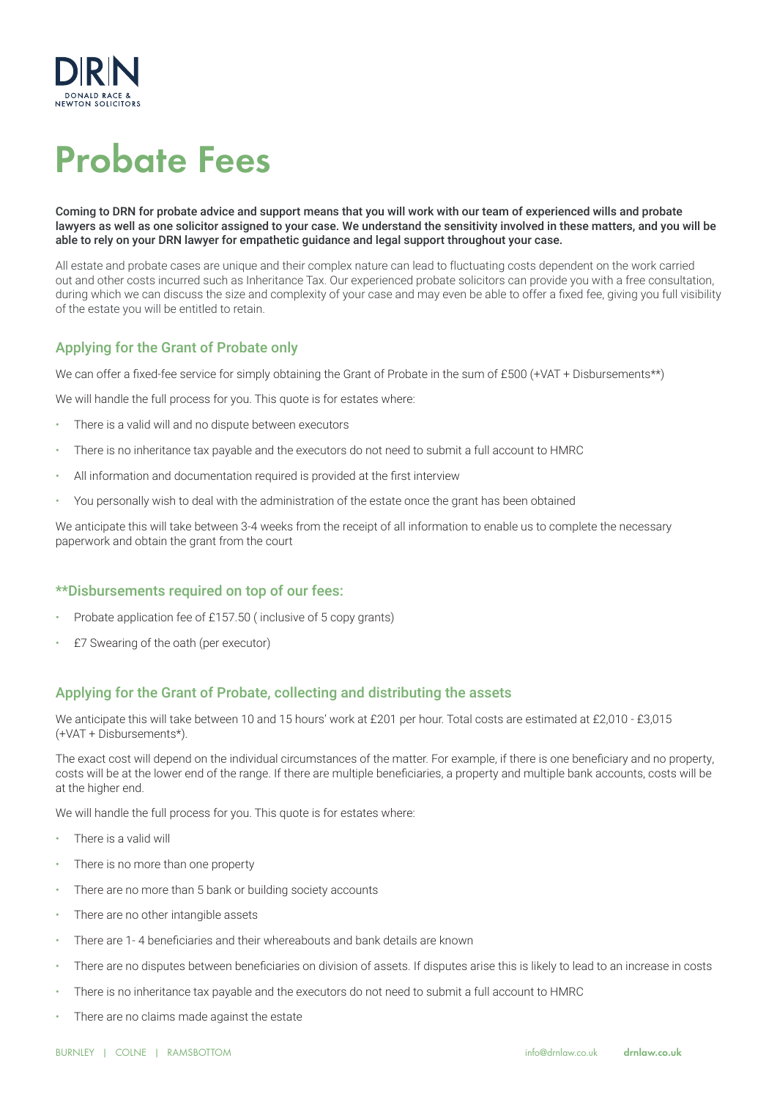

# Probate Fees

Coming to DRN for probate advice and support means that you will work with our team of experienced wills and probate lawyers as well as one solicitor assigned to your case. We understand the sensitivity involved in these matters, and you will be able to rely on your DRN lawyer for empathetic guidance and legal support throughout your case.

All estate and probate cases are unique and their complex nature can lead to fluctuating costs dependent on the work carried out and other costs incurred such as Inheritance Tax. Our experienced probate solicitors can provide you with a free consultation, during which we can discuss the size and complexity of your case and may even be able to offer a fixed fee, giving you full visibility of the estate you will be entitled to retain.

## Applying for the Grant of Probate only

We can offer a fixed-fee service for simply obtaining the Grant of Probate in the sum of £500 (+VAT + Disbursements\*\*)

We will handle the full process for you. This quote is for estates where:

- There is a valid will and no dispute between executors
- There is no inheritance tax payable and the executors do not need to submit a full account to HMRC
- All information and documentation required is provided at the first interview
- You personally wish to deal with the administration of the estate once the grant has been obtained

We anticipate this will take between 3-4 weeks from the receipt of all information to enable us to complete the necessary paperwork and obtain the grant from the court

### \*\*Disbursements required on top of our fees:

- Probate application fee of £157.50 ( inclusive of 5 copy grants)
- £7 Swearing of the oath (per executor)

## Applying for the Grant of Probate, collecting and distributing the assets

We anticipate this will take between 10 and 15 hours' work at £201 per hour. Total costs are estimated at £2,010 - £3,015 (+VAT + Disbursements\*).

The exact cost will depend on the individual circumstances of the matter. For example, if there is one beneficiary and no property, costs will be at the lower end of the range. If there are multiple beneficiaries, a property and multiple bank accounts, costs will be at the higher end.

We will handle the full process for you. This quote is for estates where:

- There is a valid will
- There is no more than one property
- There are no more than 5 bank or building society accounts
- There are no other intangible assets
- There are 1- 4 beneficiaries and their whereabouts and bank details are known
- There are no disputes between beneficiaries on division of assets. If disputes arise this is likely to lead to an increase in costs
- There is no inheritance tax payable and the executors do not need to submit a full account to HMRC
- There are no claims made against the estate